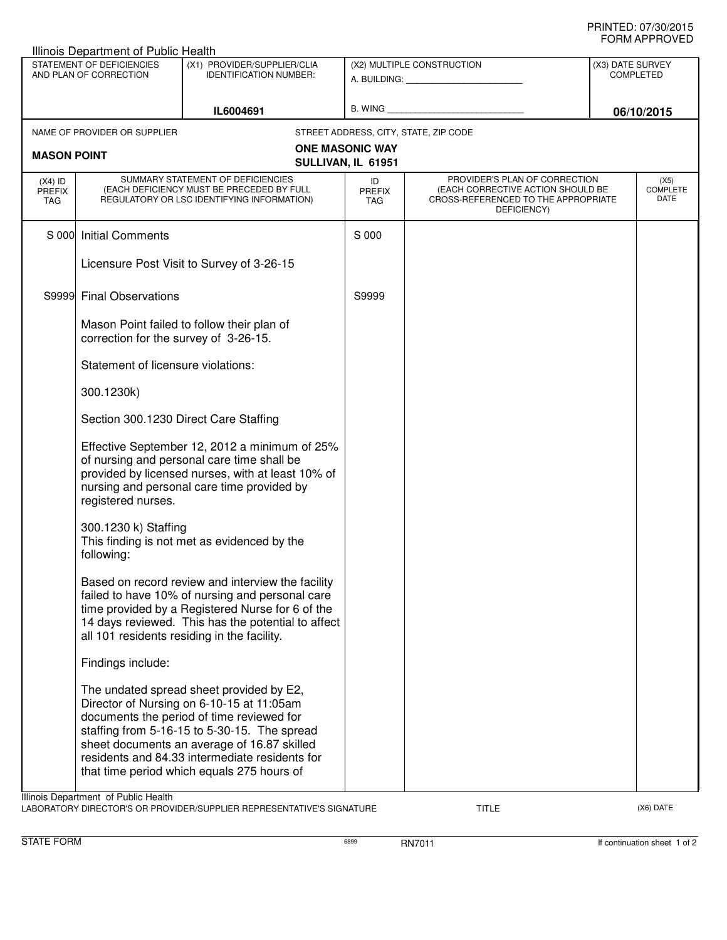## PRINTED: 07/30/2015 FORM APPROVED

| Illinois Department of Public Health                |                                                                                                                                                                                                                      |                                                                                                                                                                                                                                                                                                                                   |                                   |                                                                                                                          |                                      |                                 |  |  |  |  |  |
|-----------------------------------------------------|----------------------------------------------------------------------------------------------------------------------------------------------------------------------------------------------------------------------|-----------------------------------------------------------------------------------------------------------------------------------------------------------------------------------------------------------------------------------------------------------------------------------------------------------------------------------|-----------------------------------|--------------------------------------------------------------------------------------------------------------------------|--------------------------------------|---------------------------------|--|--|--|--|--|
| STATEMENT OF DEFICIENCIES<br>AND PLAN OF CORRECTION |                                                                                                                                                                                                                      | (X1) PROVIDER/SUPPLIER/CLIA<br><b>IDENTIFICATION NUMBER:</b>                                                                                                                                                                                                                                                                      | (X2) MULTIPLE CONSTRUCTION        |                                                                                                                          | (X3) DATE SURVEY<br><b>COMPLETED</b> |                                 |  |  |  |  |  |
|                                                     |                                                                                                                                                                                                                      |                                                                                                                                                                                                                                                                                                                                   |                                   |                                                                                                                          |                                      |                                 |  |  |  |  |  |
|                                                     |                                                                                                                                                                                                                      | IL6004691                                                                                                                                                                                                                                                                                                                         |                                   |                                                                                                                          | 06/10/2015                           |                                 |  |  |  |  |  |
|                                                     | NAME OF PROVIDER OR SUPPLIER                                                                                                                                                                                         |                                                                                                                                                                                                                                                                                                                                   |                                   | STREET ADDRESS, CITY, STATE, ZIP CODE                                                                                    |                                      |                                 |  |  |  |  |  |
| <b>MASON POINT</b>                                  |                                                                                                                                                                                                                      |                                                                                                                                                                                                                                                                                                                                   | <b>ONE MASONIC WAY</b>            |                                                                                                                          |                                      |                                 |  |  |  |  |  |
|                                                     |                                                                                                                                                                                                                      |                                                                                                                                                                                                                                                                                                                                   | SULLIVAN, IL 61951                |                                                                                                                          |                                      |                                 |  |  |  |  |  |
| $(X4)$ ID<br>PREFIX<br>TAG                          | SUMMARY STATEMENT OF DEFICIENCIES<br>(EACH DEFICIENCY MUST BE PRECEDED BY FULL<br>REGULATORY OR LSC IDENTIFYING INFORMATION)                                                                                         |                                                                                                                                                                                                                                                                                                                                   | ID<br><b>PREFIX</b><br><b>TAG</b> | PROVIDER'S PLAN OF CORRECTION<br>(EACH CORRECTIVE ACTION SHOULD BE<br>CROSS-REFERENCED TO THE APPROPRIATE<br>DEFICIENCY) |                                      | (X5)<br><b>COMPLETE</b><br>DATE |  |  |  |  |  |
|                                                     | S 000 Initial Comments                                                                                                                                                                                               |                                                                                                                                                                                                                                                                                                                                   | S 000                             |                                                                                                                          |                                      |                                 |  |  |  |  |  |
|                                                     | Licensure Post Visit to Survey of 3-26-15                                                                                                                                                                            |                                                                                                                                                                                                                                                                                                                                   |                                   |                                                                                                                          |                                      |                                 |  |  |  |  |  |
|                                                     | S9999 Final Observations                                                                                                                                                                                             |                                                                                                                                                                                                                                                                                                                                   | S9999                             |                                                                                                                          |                                      |                                 |  |  |  |  |  |
|                                                     | Mason Point failed to follow their plan of<br>correction for the survey of 3-26-15.                                                                                                                                  |                                                                                                                                                                                                                                                                                                                                   |                                   |                                                                                                                          |                                      |                                 |  |  |  |  |  |
|                                                     | Statement of licensure violations:                                                                                                                                                                                   |                                                                                                                                                                                                                                                                                                                                   |                                   |                                                                                                                          |                                      |                                 |  |  |  |  |  |
|                                                     | 300.1230k)                                                                                                                                                                                                           |                                                                                                                                                                                                                                                                                                                                   |                                   |                                                                                                                          |                                      |                                 |  |  |  |  |  |
|                                                     | Section 300.1230 Direct Care Staffing                                                                                                                                                                                |                                                                                                                                                                                                                                                                                                                                   |                                   |                                                                                                                          |                                      |                                 |  |  |  |  |  |
|                                                     | Effective September 12, 2012 a minimum of 25%<br>of nursing and personal care time shall be<br>provided by licensed nurses, with at least 10% of<br>nursing and personal care time provided by<br>registered nurses. |                                                                                                                                                                                                                                                                                                                                   |                                   |                                                                                                                          |                                      |                                 |  |  |  |  |  |
|                                                     | 300.1230 k) Staffing<br>This finding is not met as evidenced by the<br>following:                                                                                                                                    |                                                                                                                                                                                                                                                                                                                                   |                                   |                                                                                                                          |                                      |                                 |  |  |  |  |  |
|                                                     | all 101 residents residing in the facility.                                                                                                                                                                          | Based on record review and interview the facility<br>failed to have 10% of nursing and personal care<br>time provided by a Registered Nurse for 6 of the<br>14 days reviewed. This has the potential to affect                                                                                                                    |                                   |                                                                                                                          |                                      |                                 |  |  |  |  |  |
|                                                     | Findings include:                                                                                                                                                                                                    |                                                                                                                                                                                                                                                                                                                                   |                                   |                                                                                                                          |                                      |                                 |  |  |  |  |  |
|                                                     |                                                                                                                                                                                                                      | The undated spread sheet provided by E2,<br>Director of Nursing on 6-10-15 at 11:05am<br>documents the period of time reviewed for<br>staffing from 5-16-15 to 5-30-15. The spread<br>sheet documents an average of 16.87 skilled<br>residents and 84.33 intermediate residents for<br>that time period which equals 275 hours of |                                   |                                                                                                                          |                                      |                                 |  |  |  |  |  |
|                                                     | Illinois Department of Public Health                                                                                                                                                                                 | LABORATORY DIRECTOR'S OR PROVIDER/SUPPLIER REPRESENTATIVE'S SIGNATURE                                                                                                                                                                                                                                                             |                                   | TITLE                                                                                                                    |                                      | (X6) DATE                       |  |  |  |  |  |